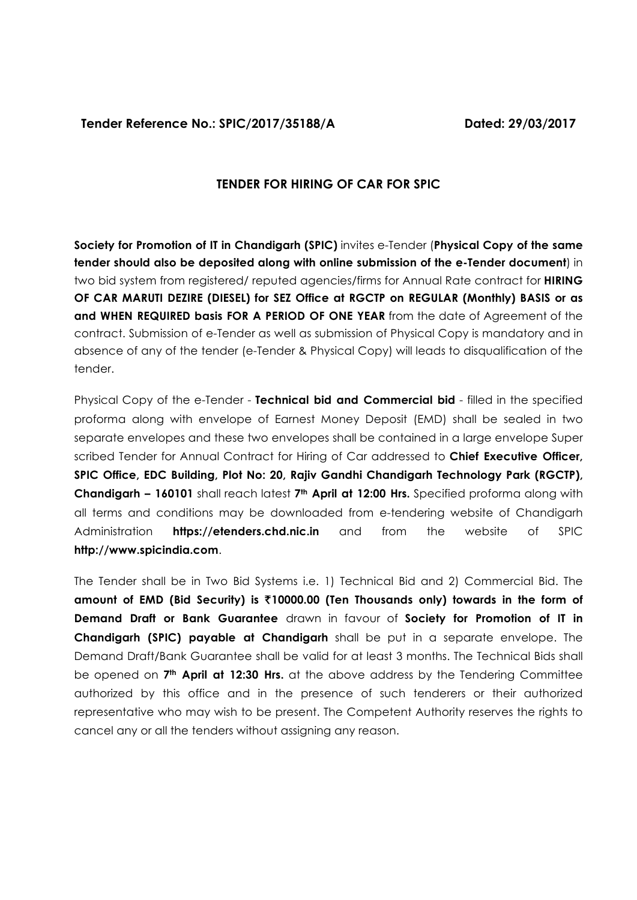**Tender Reference No.: SPIC/2017/35188/A Dated: 29/03/2017**

# **TENDER FOR HIRING OF CAR FOR SPIC**

**Society for Promotion of IT in Chandigarh (SPIC)** invites e-Tender (**Physical Copy of the same tender should also be deposited along with online submission of the e-Tender document**) in two bid system from registered/ reputed agencies/firms for Annual Rate contract for **HIRING OF CAR MARUTI DEZIRE (DIESEL) for SEZ Office at RGCTP on REGULAR (Monthly) BASIS or as and WHEN REQUIRED basis FOR A PERIOD OF ONE YEAR** from the date of Agreement of the contract. Submission of e-Tender as well as submission of Physical Copy is mandatory and in absence of any of the tender (e-Tender & Physical Copy) will leads to disqualification of the tender.

Physical Copy of the e-Tender - **Technical bid and Commercial bid** - filled in the specified proforma along with envelope of Earnest Money Deposit (EMD) shall be sealed in two separate envelopes and these two envelopes shall be contained in a large envelope Super scribed Tender for Annual Contract for Hiring of Car addressed to **Chief Executive Officer, SPIC Office, EDC Building, Plot No: 20, Rajiv Gandhi Chandigarh Technology Park (RGCTP), Chandigarh – 160101** shall reach latest **7th April at 12:00 Hrs.** Specified proforma along with all terms and conditions may be downloaded from e-tendering website of Chandigarh Administration **https://etenders.chd.nic.in** and from the website of SPIC **http://www.spicindia.com**.

The Tender shall be in Two Bid Systems i.e. 1) Technical Bid and 2) Commercial Bid. The **amount of EMD (Bid Security) is** `**10000.00 (Ten Thousands only) towards in the form of Demand Draft or Bank Guarantee** drawn in favour of **Society for Promotion of IT in Chandigarh (SPIC) payable at Chandigarh** shall be put in a separate envelope. The Demand Draft/Bank Guarantee shall be valid for at least 3 months. The Technical Bids shall be opened on **7th April at 12:30 Hrs.** at the above address by the Tendering Committee authorized by this office and in the presence of such tenderers or their authorized representative who may wish to be present. The Competent Authority reserves the rights to cancel any or all the tenders without assigning any reason.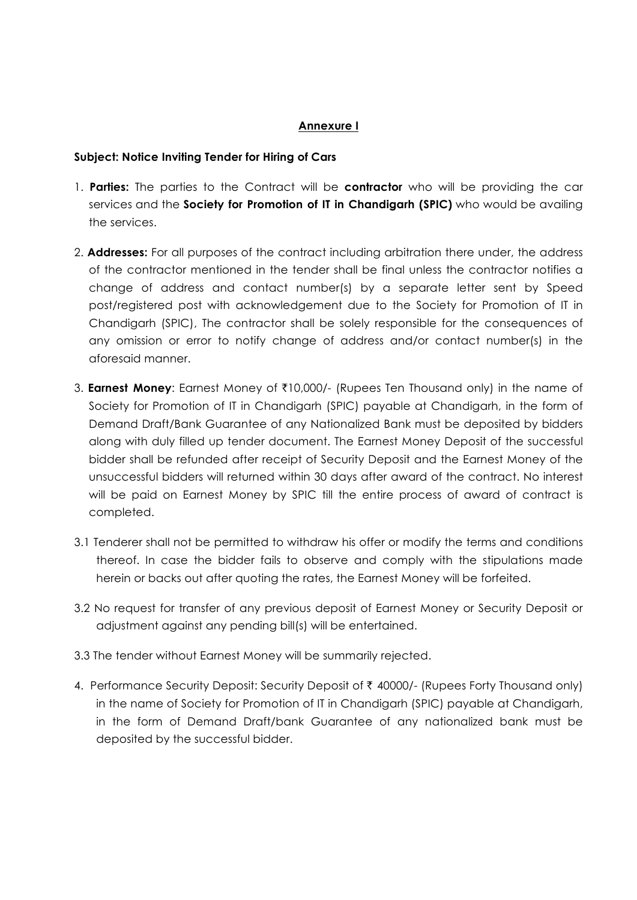## **Annexure I**

# **Subject: Notice Inviting Tender for Hiring of Cars**

- 1. **Parties:** The parties to the Contract will be **contractor** who will be providing the car services and the **Society for Promotion of IT in Chandigarh (SPIC)** who would be availing the services.
- 2. **Addresses:** For all purposes of the contract including arbitration there under, the address of the contractor mentioned in the tender shall be final unless the contractor notifies a change of address and contact number(s) by a separate letter sent by Speed post/registered post with acknowledgement due to the Society for Promotion of IT in Chandigarh (SPIC), The contractor shall be solely responsible for the consequences of any omission or error to notify change of address and/or contact number(s) in the aforesaid manner.
- 3. **Earnest Money**: Earnest Money of ₹10,000/- (Rupees Ten Thousand only) in the name of Society for Promotion of IT in Chandigarh (SPIC) payable at Chandigarh, in the form of Demand Draft/Bank Guarantee of any Nationalized Bank must be deposited by bidders along with duly filled up tender document. The Earnest Money Deposit of the successful bidder shall be refunded after receipt of Security Deposit and the Earnest Money of the unsuccessful bidders will returned within 30 days after award of the contract. No interest will be paid on Earnest Money by SPIC till the entire process of award of contract is completed.
- 3.1 Tenderer shall not be permitted to withdraw his offer or modify the terms and conditions thereof. In case the bidder fails to observe and comply with the stipulations made herein or backs out after quoting the rates, the Earnest Money will be forfeited.
- 3.2 No request for transfer of any previous deposit of Earnest Money or Security Deposit or adjustment against any pending bill(s) will be entertained.
- 3.3 The tender without Earnest Money will be summarily rejected.
- 4. Performance Security Deposit: Security Deposit of ₹ 40000/- (Rupees Forty Thousand only) in the name of Society for Promotion of IT in Chandigarh (SPIC) payable at Chandigarh, in the form of Demand Draft/bank Guarantee of any nationalized bank must be deposited by the successful bidder.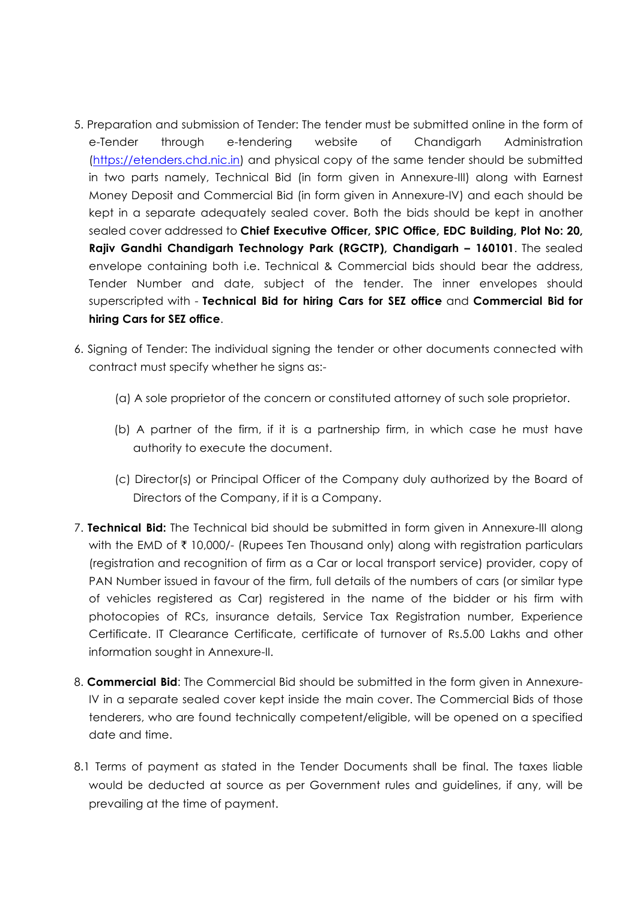- 5. Preparation and submission of Tender: The tender must be submitted online in the form of e-Tender through e-tendering website of Chandigarh Administration (https://etenders.chd.nic.in) and physical copy of the same tender should be submitted in two parts namely, Technical Bid (in form given in Annexure-III) along with Earnest Money Deposit and Commercial Bid (in form given in Annexure-IV) and each should be kept in a separate adequately sealed cover. Both the bids should be kept in another sealed cover addressed to **Chief Executive Officer, SPIC Office, EDC Building, Plot No: 20, Rajiv Gandhi Chandigarh Technology Park (RGCTP), Chandigarh – 160101**. The sealed envelope containing both i.e. Technical & Commercial bids should bear the address, Tender Number and date, subject of the tender. The inner envelopes should superscripted with - **Technical Bid for hiring Cars for SEZ office** and **Commercial Bid for hiring Cars for SEZ office**.
- 6. Signing of Tender: The individual signing the tender or other documents connected with contract must specify whether he signs as:-
	- (a) A sole proprietor of the concern or constituted attorney of such sole proprietor.
	- (b) A partner of the firm, if it is a partnership firm, in which case he must have authority to execute the document.
	- (c) Director(s) or Principal Officer of the Company duly authorized by the Board of Directors of the Company, if it is a Company.
- 7. **Technical Bid:** The Technical bid should be submitted in form given in Annexure-III along with the EMD of  $\bar{\tau}$  10,000/- (Rupees Ten Thousand only) along with registration particulars (registration and recognition of firm as a Car or local transport service) provider, copy of PAN Number issued in favour of the firm, full details of the numbers of cars (or similar type of vehicles registered as Car) registered in the name of the bidder or his firm with photocopies of RCs, insurance details, Service Tax Registration number, Experience Certificate. IT Clearance Certificate, certificate of turnover of Rs.5.00 Lakhs and other information sought in Annexure-II.
- 8. **Commercial Bid**: The Commercial Bid should be submitted in the form given in Annexure-IV in a separate sealed cover kept inside the main cover. The Commercial Bids of those tenderers, who are found technically competent/eligible, will be opened on a specified date and time.
- 8.1 Terms of payment as stated in the Tender Documents shall be final. The taxes liable would be deducted at source as per Government rules and guidelines, if any, will be prevailing at the time of payment.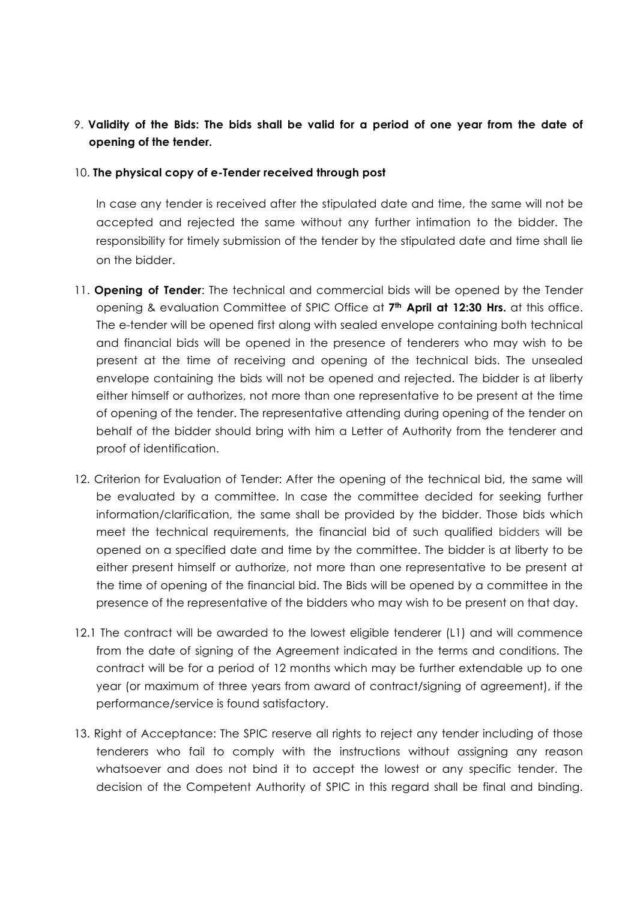# 9. **Validity of the Bids: The bids shall be valid for a period of one year from the date of opening of the tender.**

## 10. **The physical copy of e-Tender received through post**

In case any tender is received after the stipulated date and time, the same will not be accepted and rejected the same without any further intimation to the bidder. The responsibility for timely submission of the tender by the stipulated date and time shall lie on the bidder.

- 11. **Opening of Tender**: The technical and commercial bids will be opened by the Tender opening & evaluation Committee of SPIC Office at **7th April at 12:30 Hrs.** at this office. The e-tender will be opened first along with sealed envelope containing both technical and financial bids will be opened in the presence of tenderers who may wish to be present at the time of receiving and opening of the technical bids. The unsealed envelope containing the bids will not be opened and rejected. The bidder is at liberty either himself or authorizes, not more than one representative to be present at the time of opening of the tender. The representative attending during opening of the tender on behalf of the bidder should bring with him a Letter of Authority from the tenderer and proof of identification.
- 12. Criterion for Evaluation of Tender: After the opening of the technical bid, the same will be evaluated by a committee. In case the committee decided for seeking further information/clarification, the same shall be provided by the bidder. Those bids which meet the technical requirements, the financial bid of such qualified bidders will be opened on a specified date and time by the committee. The bidder is at liberty to be either present himself or authorize, not more than one representative to be present at the time of opening of the financial bid. The Bids will be opened by a committee in the presence of the representative of the bidders who may wish to be present on that day.
- 12.1 The contract will be awarded to the lowest eligible tenderer (L1) and will commence from the date of signing of the Agreement indicated in the terms and conditions. The contract will be for a period of 12 months which may be further extendable up to one year (or maximum of three years from award of contract/signing of agreement), if the performance/service is found satisfactory.
- 13. Right of Acceptance: The SPIC reserve all rights to reject any tender including of those tenderers who fail to comply with the instructions without assigning any reason whatsoever and does not bind it to accept the lowest or any specific tender. The decision of the Competent Authority of SPIC in this regard shall be final and binding.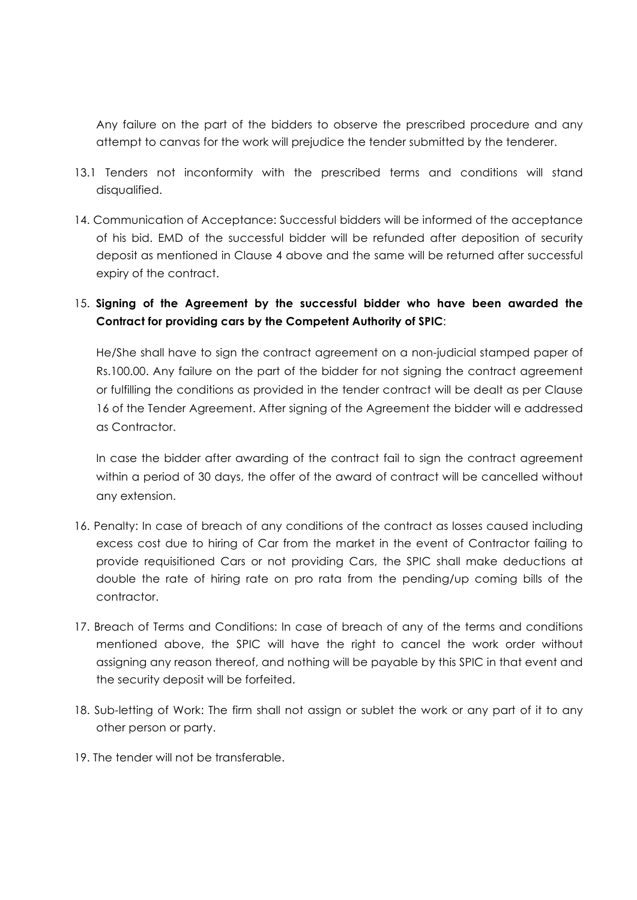Any failure on the part of the bidders to observe the prescribed procedure and any attempt to canvas for the work will prejudice the tender submitted by the tenderer.

- 13.1 Tenders not inconformity with the prescribed terms and conditions will stand disqualified.
- 14. Communication of Acceptance: Successful bidders will be informed of the acceptance of his bid. EMD of the successful bidder will be refunded after deposition of security deposit as mentioned in Clause 4 above and the same will be returned after successful expiry of the contract.

# 15. **Signing of the Agreement by the successful bidder who have been awarded the Contract for providing cars by the Competent Authority of SPIC**:

He/She shall have to sign the contract agreement on a non-judicial stamped paper of Rs.100.00. Any failure on the part of the bidder for not signing the contract agreement or fulfilling the conditions as provided in the tender contract will be dealt as per Clause 16 of the Tender Agreement. After signing of the Agreement the bidder will e addressed as Contractor.

In case the bidder after awarding of the contract fail to sign the contract agreement within a period of 30 days, the offer of the award of contract will be cancelled without any extension.

- 16. Penalty: In case of breach of any conditions of the contract as losses caused including excess cost due to hiring of Car from the market in the event of Contractor failing to provide requisitioned Cars or not providing Cars, the SPIC shall make deductions at double the rate of hiring rate on pro rata from the pending/up coming bills of the contractor.
- 17. Breach of Terms and Conditions: In case of breach of any of the terms and conditions mentioned above, the SPIC will have the right to cancel the work order without assigning any reason thereof, and nothing will be payable by this SPIC in that event and the security deposit will be forfeited.
- 18. Sub-letting of Work: The firm shall not assign or sublet the work or any part of it to any other person or party.
- 19. The tender will not be transferable.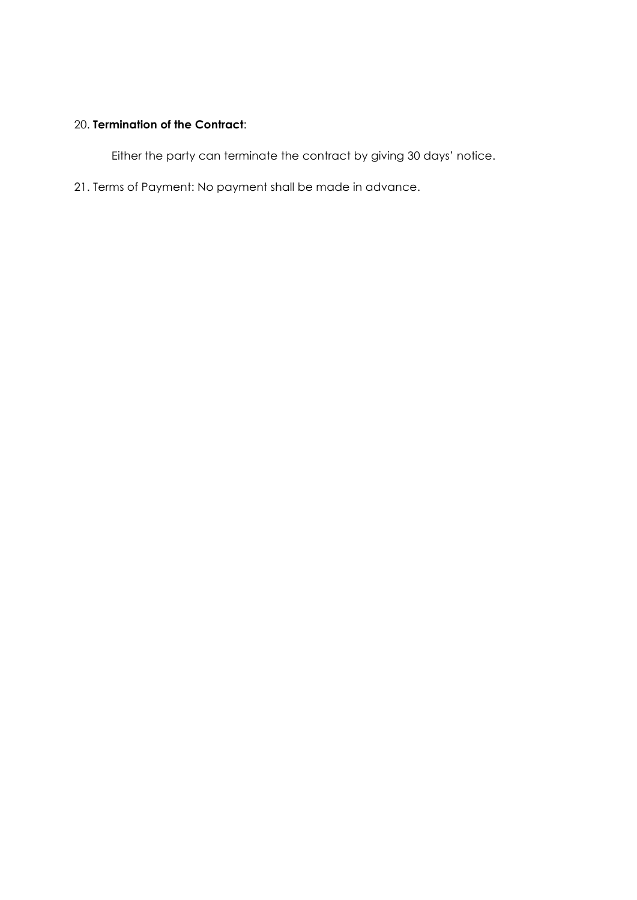# 20. **Termination of the Contract**:

Either the party can terminate the contract by giving 30 days' notice.

21. Terms of Payment: No payment shall be made in advance.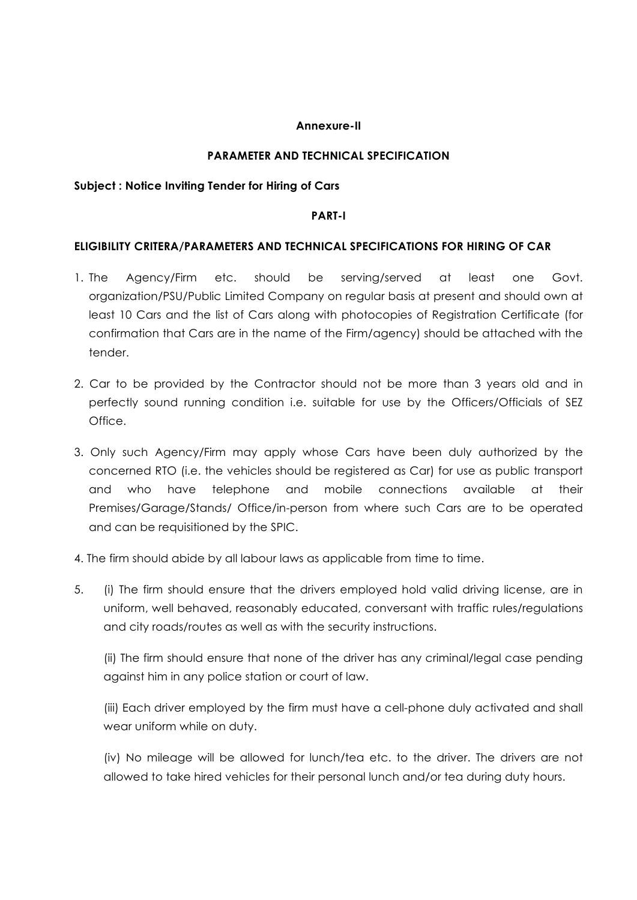#### **Annexure-II**

# **PARAMETER AND TECHNICAL SPECIFICATION**

#### **Subject : Notice Inviting Tender for Hiring of Cars**

#### **PART-I**

## **ELIGIBILITY CRITERA/PARAMETERS AND TECHNICAL SPECIFICATIONS FOR HIRING OF CAR**

- 1. The Agency/Firm etc. should be serving/served at least one Govt. organization/PSU/Public Limited Company on regular basis at present and should own at least 10 Cars and the list of Cars along with photocopies of Registration Certificate (for confirmation that Cars are in the name of the Firm/agency) should be attached with the tender.
- 2. Car to be provided by the Contractor should not be more than 3 years old and in perfectly sound running condition i.e. suitable for use by the Officers/Officials of SEZ Office.
- 3. Only such Agency/Firm may apply whose Cars have been duly authorized by the concerned RTO (i.e. the vehicles should be registered as Car) for use as public transport and who have telephone and mobile connections available at their Premises/Garage/Stands/ Office/in-person from where such Cars are to be operated and can be requisitioned by the SPIC.
- 4. The firm should abide by all labour laws as applicable from time to time.
- 5. (i) The firm should ensure that the drivers employed hold valid driving license, are in uniform, well behaved, reasonably educated, conversant with traffic rules/regulations and city roads/routes as well as with the security instructions.

(ii) The firm should ensure that none of the driver has any criminal/legal case pending against him in any police station or court of law.

(iii) Each driver employed by the firm must have a cell-phone duly activated and shall wear uniform while on duty.

(iv) No mileage will be allowed for lunch/tea etc. to the driver. The drivers are not allowed to take hired vehicles for their personal lunch and/or tea during duty hours.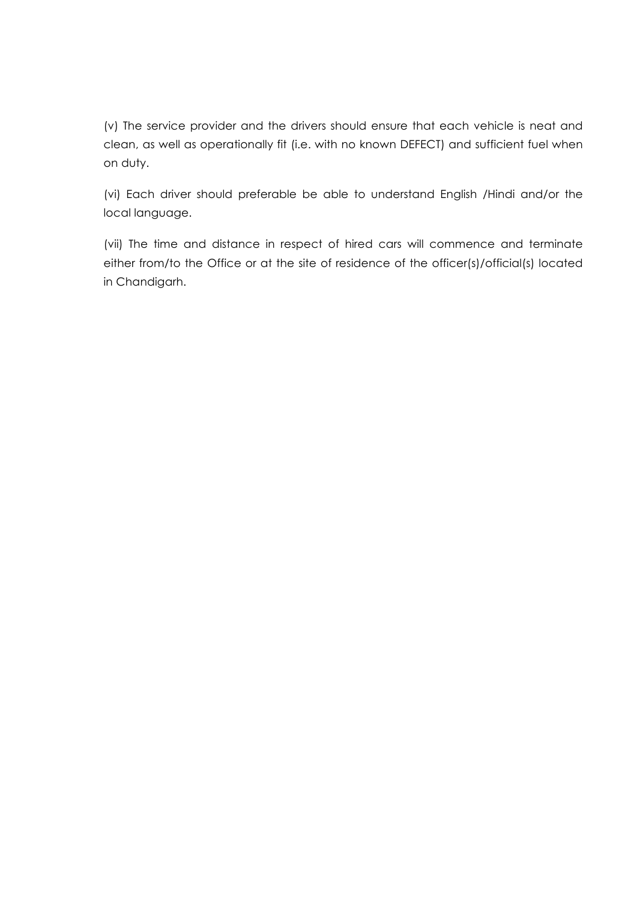(v) The service provider and the drivers should ensure that each vehicle is neat and clean, as well as operationally fit (i.e. with no known DEFECT) and sufficient fuel when on duty.

(vi) Each driver should preferable be able to understand English /Hindi and/or the local language.

(vii) The time and distance in respect of hired cars will commence and terminate either from/to the Office or at the site of residence of the officer(s)/official(s) located in Chandigarh.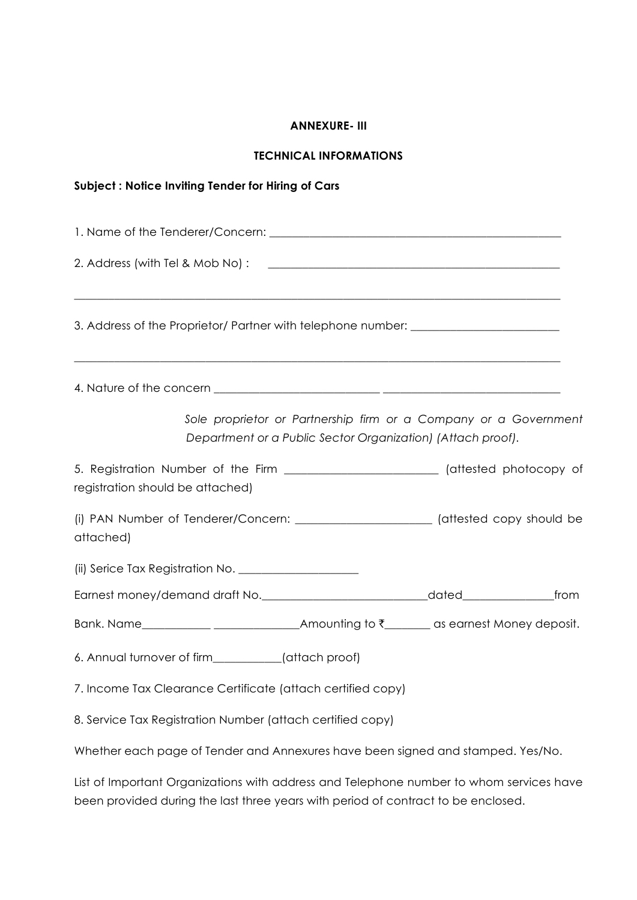#### **ANNEXURE- III**

#### **TECHNICAL INFORMATIONS**

# **Subject : Notice Inviting Tender for Hiring of Cars**  1. Name of the Tenderer/Concern: \_\_\_\_\_\_\_\_\_\_\_\_\_\_\_\_\_\_\_\_\_\_\_\_\_\_\_\_\_\_\_\_\_\_\_\_\_\_\_\_\_\_\_\_\_\_\_\_\_\_\_ 2. Address (with Tel & Mob No) : \_\_\_\_\_\_\_\_\_\_\_\_\_\_\_\_\_\_\_\_\_\_\_\_\_\_\_\_\_\_\_\_\_\_\_\_\_\_\_\_\_\_\_\_\_\_\_\_\_\_\_  $\_$  , and the set of the set of the set of the set of the set of the set of the set of the set of the set of the set of the set of the set of the set of the set of the set of the set of the set of the set of the set of th 3. Address of the Proprietor/ Partner with telephone number: \_\_\_\_\_\_\_\_\_\_\_\_\_\_\_\_\_\_\_  $\_$  , and the set of the set of the set of the set of the set of the set of the set of the set of the set of the set of the set of the set of the set of the set of the set of the set of the set of the set of the set of th 4. Nature of the concern \_\_\_\_\_\_\_\_\_\_\_\_\_\_\_\_\_\_\_\_\_\_\_\_\_\_\_\_\_ \_\_\_\_\_\_\_\_\_\_\_\_\_\_\_\_\_\_\_\_\_\_\_\_\_\_\_\_\_\_\_ *Sole proprietor or Partnership firm or a Company or a Government Department or a Public Sector Organization) (Attach proof).*  5. Registration Number of the Firm \_\_\_\_\_\_\_\_\_\_\_\_\_\_\_\_\_\_\_\_\_\_\_\_\_\_\_ (attested photocopy of registration should be attached) (i) PAN Number of Tenderer/Concern: \_\_\_\_\_\_\_\_\_\_\_\_\_\_\_\_\_\_\_\_\_\_\_\_ (attested copy should be attached) (ii) Serice Tax Registration No. \_\_\_\_\_\_\_\_\_\_\_\_\_\_\_\_\_\_\_\_\_ Earnest money/demand draft No.\_\_\_\_\_\_\_\_\_\_\_\_\_\_\_\_\_\_\_\_\_\_\_\_\_\_\_\_\_dated\_\_\_\_\_\_\_\_\_\_\_\_\_\_\_\_from Bank. Name\_\_\_\_\_\_\_\_\_\_\_\_\_\_\_\_\_\_\_\_\_\_\_\_\_\_\_\_\_\_\_\_\_Amounting to  $\bar{\zeta}$ \_\_\_\_\_\_\_\_ as earnest Money deposit. 6. Annual turnover of firm\_\_\_\_\_\_\_\_\_\_\_\_(attach proof) 7. Income Tax Clearance Certificate (attach certified copy) 8. Service Tax Registration Number (attach certified copy)

Whether each page of Tender and Annexures have been signed and stamped. Yes/No.

List of Important Organizations with address and Telephone number to whom services have been provided during the last three years with period of contract to be enclosed.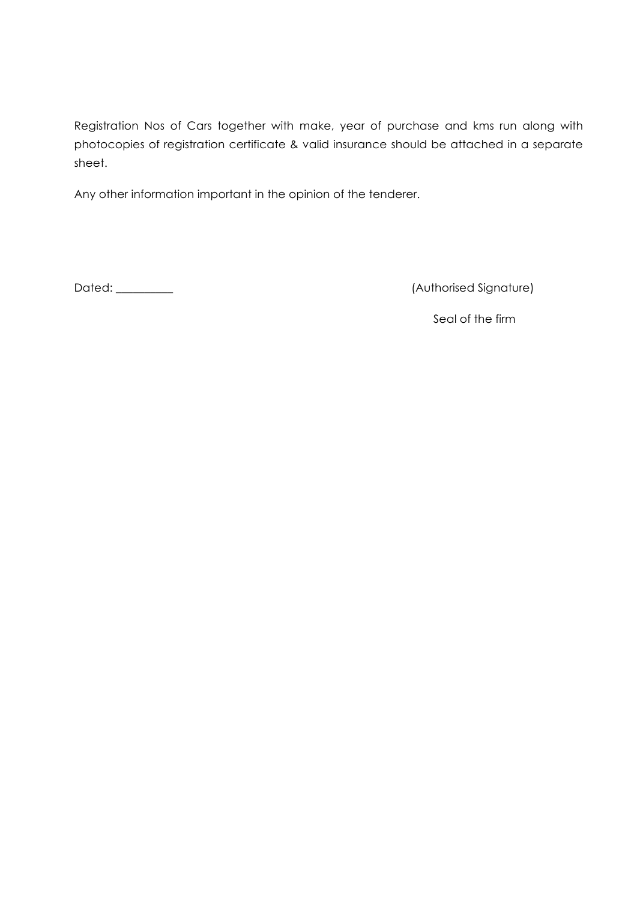Registration Nos of Cars together with make, year of purchase and kms run along with photocopies of registration certificate & valid insurance should be attached in a separate sheet.

Any other information important in the opinion of the tenderer.

Dated: \_\_\_\_\_\_\_\_\_\_ (Authorised Signature)

Seal of the firm